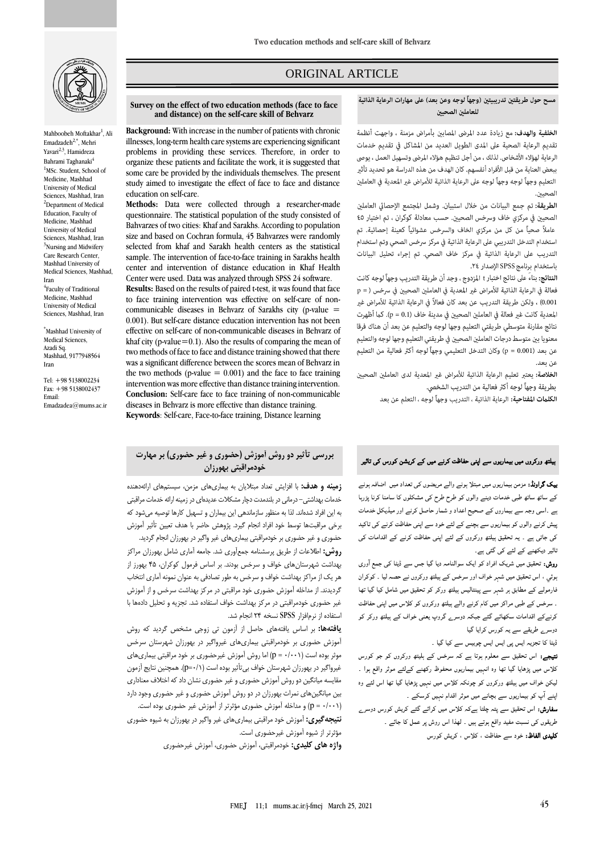

Mahboobeh Moftakhar<sup>1</sup>, Ali Emadzadeh $2,$ \*, Mehri Yavari<sup>2,3</sup>, Hamidreza Bahrami Taghanaki<sup>4</sup> <sup>1</sup>MSc. Student, School of Medicine, Mashhad University of Medical Sciences, Mashhad, Iran <sup>2</sup>Department of Medical Education, Faculty of Medicine, Mashhad University of Medical Sciences, Mashhad, Iran <sup>3</sup>Nursing and Midwifery Care Research Center, Mashhad University of Medical Sciences, Mashhad, Iran 4 Faculty of Traditional Medicine, Mashhad University of Medical Sciences, Mashhad, Iran

\*Mashhad University of Medical Sciences, Azadi Sq. Mashhad, 9177948564 Iran

Tel: +98 5138002234 Fax: +98 5138002437 Email: Emadzadea@mums.ac.ir

## ORIGINAL ARTICLE

#### مسح حول طريقتين تدريبيتين (وجهاً لوجه وعن بعد) على مهارات الرعاية الذاتية للعاملين الصحيين

ص

ا**لخلفية والهدف:** مع زيادة عدد المرضى المصابين بأمراض مزمنة ، واجهت أنظمة تقديم الرعاية الصحية على المدى الطويل العديد من المشاكل في تقديم خدمات الرعاية لهؤلاء الأشخاص. لذلك ، من أجل تنظيم هؤلاء المرضى وتسهيل العمل ، يوصى ببعض العناية من قبل الأفراد أنفسهم. كان الهدف من هذه الدراسة هو تحديد تأثير التعليم وجهاً لوجه وجهاً لوجه على الرعاية الذاتية للأمراض غير المعدية فى العاملين الصحيين.

الطريقة: تم جمع البيانات من خلال استبيان. وشمل المجتمع الإحصائي العاملين الصحيين في مركزي خاف وسرخس الصحيين. حسب معادلة كوكران ، تم اختيار ٤٥ عاملاً صحياً من كل من مركزي الخاف والسرخس عشوائياً كعينة إحصائية. تم استخدام التدخل التدريبي على الرعاية الذاتية في مركز سرخس الصحي وتم استخدام التدريب على الرعاية الذاتية في مركز خاف الصحى. تم إجراء تحليل البيانات باستخدام برنامج SPSS الإصدار ٢٤.

ا**لنتائج:** بناء على نتائج اختبار t المزدوج ، وجد أن طريقة التدريب وجهاً لوجه كانت فعالة في الرعاية الذاتية للأمراض غير المعدية في العاملين الصحيين في سرخس ( = p 0.001) ، ولكن طريقة التدريب عن بعد كان فعالاً في الرعاية الذاتية للأمراض غير المعدية كانت غير فعالة في العاملين الصحيين في مدينة خاف (p = 0.1). كما أظهرت نتائج مقارنة متوسطي طريقتي التعليم وجها لوجه والتعليم عن بعد أن هناك فرقا معنويا بين متوسط درجات العاملين الصحيين في طريقتي التعليم وجها لوجه والتعليم عن بعد (p = 0.001) وكان التدخل التعليمي وجهاً لوجه أكثر فعالية من التعليم عن بعد.

الخلاصة: يعتبر تعليم الرعاية الذاتية للأمراض غير المعدية لدى العاملين الصحيين بطريقة وجهاً لوجه أكثر فعالية من التدريب الشخصى.

**الكلمات المفتاحية:** الرعاية الذاتية ، التدريب وجهاً لوجه ، التعلم عن بعد

#### **Survey on the effect of two education methods (face to face and distance) on the self-care skill of Behvarz**

**Background:** With increase in the number of patients with chronic illnesses, long-term health care systems are experiencing significant problems in providing these services. Therefore, in order to organize these patients and facilitate the work, it is suggested that some care be provided by the individuals themselves. The present study aimed to investigate the effect of face to face and distance education on self-care.

**Methods:** Data were collected through a researcher-made questionnaire. The statistical population of the study consisted of Bahvarzes of two cities: Khaf and Sarakhs. According to population size and based on Cochran formula, 45 Bahvarzes were randomly selected from khaf and Sarakh health centers as the statistical sample. The intervention of face-to-face training in Sarakhs health center and intervention of distance education in Khaf Health Center were used. Data was analyzed through SPSS 24 software.

**Results:** Based on the results of paired t-test, it was found that face to face training intervention was effective on self-care of noncommunicable diseases in Behvarz of Sarakhs city (p-value  $=$ 0.001). But self-care distance education intervention has not been effective on self-care of non-communicable diseases in Behvarz of khaf city (p-value=0.1). Also the results of comparing the mean of two methods of face to face and distance training showed that there was a significant difference between the scores mean of Behvarz in the two methods (p-value  $= 0.001$ ) and the face to face training intervention was more effective than distance training intervention. **Conclusion:** Self-care face to face training of non-communicable diseases in Behvarz is more effective than distance training. **Keywords**: Self-care, Face-to-face training, Distance learning

### **بررسی تأثیر دو روش آموزش )حضوری و غیر حضوری( بر مهارت خودمراقبتی بهورزان**

**زمینه و هدف:** با افزایش تعداد مبتالیان به بیماریهای مزمن، سیستمهای ارائهدهنده خدمات بهداشتی- درمانی در بلندمدت دچار مشکالت عدیدهای در زمینه ارائه خدمات مراقبتی به این افراد شدهاند. لذا به منظور سازماندهی این بیماران و تسهیل کارها توصیه میشود که برخی مراقبتها توسط خود افراد انجام گیرد. پژوهش حاضر با هدف تعیین تأثیر آموزش

حضوری و غیر حضوری بر خودمراقبتی بیماریهای غیر واگیر در بهورزان انجام گردید. **روش:** اطالعات از طریق پرسشنامه جمعآوری شد. جامعه آماری شامل بهورزان مراکز بهداشت شهرستانهای خواف و سرخس بودند. بر اساس فرمول کوکران، 45 بهورز از هر یک از مراکز بهداشت خواف و سرخس به طور تصادفی به عنوان نمونه آماری انتخاب گردیدند. از مداخله آموزش حضوری خود مراقبتی در مرکز بهداشت سرخس و از آموزش غیر حضوری خودمراقبتی در مرکز بهداشت خواف استفاده شد. تجزیه و تحلیل دادهها با استفاده از نرمافزار SPSS نسخه 24 انجام شد.

**یافتهها:** بر اساس یافتههای حاصل از آزمون تی زوجی مشخص گردید که روش آموزش حضوری بر خودمراقبتی بیماریهای غیرواگیر در بهورزان شهرستان سرخس موثر بوده است (p = ۰/۰۰۱) اما روش آموزش غیرحضوری بر خود مراقبتی بیماریهای غیرواگیر در بهورزان شهرستان خواف بیتأثیر بوده است )0/1=p). همچنین نتایج آزمون مقایسه میانگین دو روش آموزش حضوری و غیر حضوری نشان داد که اختالف معناداری بین میانگینهای نمرات بهورزان در دو روش آموزش حضوری و غیر حضوری وجود دارد )0/001 = p )و مداخله آموزش حضوری مؤثرتر از آموزش غیر حضوری بوده است.

**نتیجهگیری:** آموزش خود مراقبتی بیماریهای غیر واگیر در بهورزان به شیوه حضوری مؤثرتر از شیوه آموزش غیرحضوری است.

**واژه های کلیدی:** خودمراقبتی، آموزش حضوری، آموزش غیرحضوری

# ہیلتھ ورکروں میں بیماریوں سے اپنی حفاظت کرنے میں کے کریشن کورس کی تاثیر

بیک گراونڈ: مزمن بیماریوں میں مبتلا ہونے والے مریضوں کی تعداد میں اضافہ ہونے کے ساتھ ساتھ طبی خدمات دینے والوں کو طرح طرح کی مشکلوں کا سامنا کرنا پڑرہا ہے ۔اسی وجہ سے بیماروں کے صحیح اعداد و شمار حاصل کرنے اور میڈیکل خدمات پیش کرنے والوں کو بیماریوں سے بچنے کے لئے خود سے اپنی حفاظت کرنے کی تاکید کی جاتی ہے ۔ یہ تحقیق ہیلتھ ورکروں کے لئے اپنی حفاظت کرنے کے اقدامات کی تاثیر دیکھنے کے لئے کی گئی ہے۔

روش: تحقیق میں شریک افراد کو ایک سوالنامہ دیا گيا جس سے ڈیٹا کی جمع ا وری ہوئي ، اس تحقیق میں شہر خواف اور سرخس کے ہیلتھ ورکروں نے حصہ لیا ۔ کوکران فارمولے کے مطابق ہر شہر سے پینتالیس ہیلتھ ورکر کو تحقیق میں شامل کیا گیا تھا ۔ سرخس کے طبی مراکز میں کام کرنے والے ہیلتھ ورکروں کو کلاس میں اپنی حفاظت کرنےکے اقدامات سکھائے گئے جبکہ دوسرے گروپ یعنی خواف کے ہیلتھ ورکر کو دوسرے طریقے سے یہ کورس کرایا گيا

ڈیٹا کا تجزیہ ایس پی ایس ایس چوبیس سے کیا گیا ۔

نتیجے: اس تحقیق سے معلوم ہوتا ہے کہ سرخس کے ہلیتھ ورکروں کو جو کورس کلاس میں پڑھایا گيا تھا وہ انہیں بیماریوں محفوظ رکھنے کےلئے موثر واقع ہوا ۔ لیکن خواف میں ہیلتھ ورکروں کو چونکہ کلاس میں نہیں پڑھایا گيا تھا اس لئے وہ اپنے ا پ کو بیماریوں سے بچانے میں موثر اقدام نہیں کرسکے ۔

سفارش: اس تحقیق سے پتہ چلتا ہےکہ کلاس میں کرائے گئے کریش کورس دوسرے طریقوں کی نسبت مفید واقع ہوتے ہيں ۔ لھذا اس روش پر عمل کا جائے ۔ کلیدی الفاظ: خود سے حفاظت ، کلاس ، کریش کورس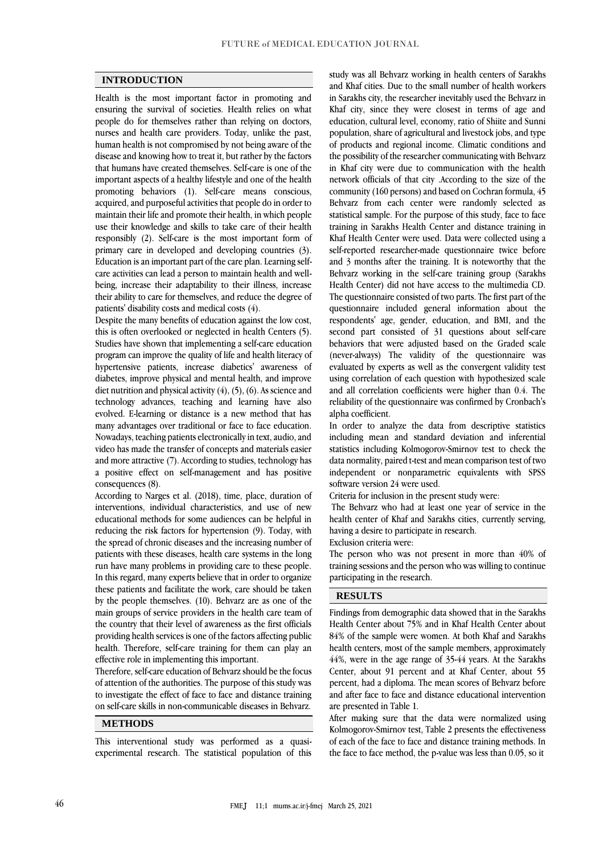#### **INTRODUCTION**

Health is the most important factor in promoting and ensuring the survival of societies. Health relies on what people do for themselves rather than relying on doctors, nurses and health care providers. Today, unlike the past, human health is not compromised by not being aware of the disease and knowing how to treat it, but rather by the factors that humans have created themselves. Self-care is one of the important aspects of a healthy lifestyle and one of the health promoting behaviors (1). Self-care means conscious, acquired, and purposeful activities that people do in order to maintain their life and promote their health, in which people use their knowledge and skills to take care of their health responsibly (2). Self-care is the most important form of primary care in developed and developing countries (3). Education is an important part of the care plan. Learning selfcare activities can lead a person to maintain health and wellbeing, increase their adaptability to their illness, increase their ability to care for themselves, and reduce the degree of patients' disability costs and medical costs (4).

Despite the many benefits of education against the low cost, this is often overlooked or neglected in health Centers (5). Studies have shown that implementing a self-care education program can improve the quality of life and health literacy of hypertensive patients, increase diabetics' awareness of diabetes, improve physical and mental health, and improve diet nutrition and physical activity  $(4)$ ,  $(5)$ ,  $(6)$ . As science and technology advances, teaching and learning have also evolved. E-learning or distance is a new method that has many advantages over traditional or face to face education. Nowadays, teaching patients electronically in text, audio, and video has made the transfer of concepts and materials easier and more attractive (7). According to studies, technology has a positive effect on self-management and has positive consequences (8).

According to Narges et al. (2018), time, place, duration of interventions, individual characteristics, and use of new educational methods for some audiences can be helpful in reducing the risk factors for hypertension (9). Today, with the spread of chronic diseases and the increasing number of patients with these diseases, health care systems in the long run have many problems in providing care to these people. In this regard, many experts believe that in order to organize these patients and facilitate the work, care should be taken by the people themselves. (10). Behvarz are as one of the main groups of service providers in the health care team of the country that their level of awareness as the first officials providing health services is one of the factors affecting public health. Therefore, self-care training for them can play an effective role in implementing this important.

Therefore, self-care education of Behvarz should be the focus of attention of the authorities. The purpose of this study was to investigate the effect of face to face and distance training on self-care skills in non-communicable diseases in Behvarz.

#### **METHODS**

This interventional study was performed as a quasiexperimental research. The statistical population of this

study was all Behvarz working in health centers of Sarakhs and Khaf cities. Due to the small number of health workers in Sarakhs city, the researcher inevitably used the Behvarz in Khaf city, since they were closest in terms of age and education, cultural level, economy, ratio of Shiite and Sunni population, share of agricultural and livestock jobs, and type of products and regional income. Climatic conditions and the possibility of the researcher communicating with Behvarz in Khaf city were due to communication with the health network officials of that city .According to the size of the community (160 persons) and based on Cochran formula, 45 Behvarz from each center were randomly selected as statistical sample. For the purpose of this study, face to face training in Sarakhs Health Center and distance training in Khaf Health Center were used. Data were collected using a self-reported researcher-made questionnaire twice before and 3 months after the training. It is noteworthy that the Behvarz working in the self-care training group (Sarakhs Health Center) did not have access to the multimedia CD. The questionnaire consisted of two parts. The first part of the questionnaire included general information about the respondents' age, gender, education, and BMI, and the second part consisted of 31 questions about self-care behaviors that were adjusted based on the Graded scale (never-always) The validity of the questionnaire was evaluated by experts as well as the convergent validity test using correlation of each question with hypothesized scale and all correlation coefficients were higher than 0.4. The reliability of the questionnaire was confirmed by Cronbach's alpha coefficient.

In order to analyze the data from descriptive statistics including mean and standard deviation and inferential statistics including Kolmogorov-Smirnov test to check the data normality, paired t-test and mean comparison test of two independent or nonparametric equivalents with SPSS software version 24 were used.

Criteria for inclusion in the present study were:

The Behvarz who had at least one year of service in the health center of Khaf and Sarakhs cities, currently serving, having a desire to participate in research.

Exclusion criteria were:

The person who was not present in more than 40% of training sessions and the person who was willing to continue participating in the research.

#### **RESULTS**

Findings from demographic data showed that in the Sarakhs Health Center about 75% and in Khaf Health Center about 84% of the sample were women. At both Khaf and Sarakhs health centers, most of the sample members, approximately 44%, were in the age range of 35-44 years. At the Sarakhs Center, about 91 percent and at Khaf Center, about 55 percent, had a diploma. The mean scores of Behvarz before and after face to face and distance educational intervention are presented in Table 1.

After making sure that the data were normalized using Kolmogorov-Smirnov test, Table 2 presents the effectiveness of each of the face to face and distance training methods. In the face to face method, the p-value was less than 0.05, so it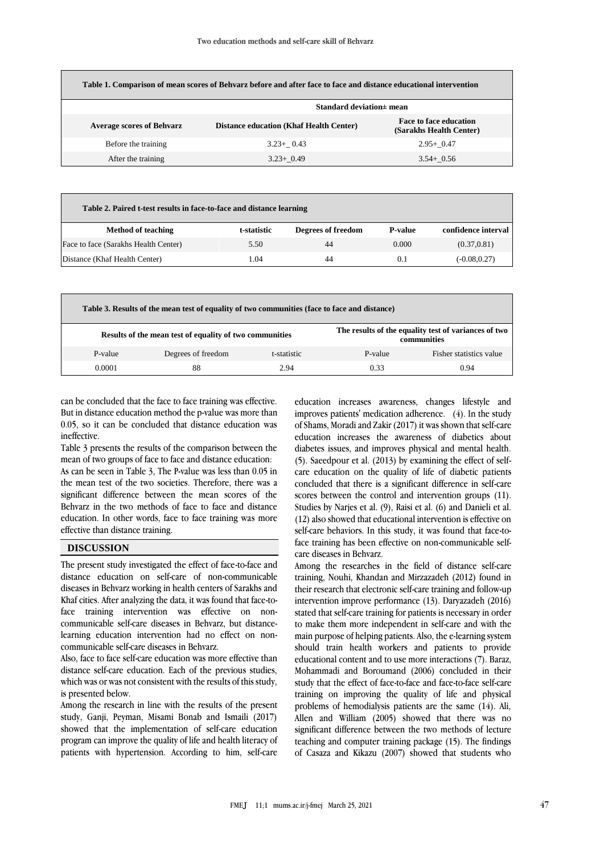| Table 1. Comparison of mean scores of Behvarz before and after face to face and distance educational intervention |                                                |                                                          |  |  |  |  |  |
|-------------------------------------------------------------------------------------------------------------------|------------------------------------------------|----------------------------------------------------------|--|--|--|--|--|
|                                                                                                                   | Standard deviation± mean                       |                                                          |  |  |  |  |  |
| <b>Average scores of Behvarz</b>                                                                                  | <b>Distance education (Khaf Health Center)</b> | <b>Face to face education</b><br>(Sarakhs Health Center) |  |  |  |  |  |
| Before the training                                                                                               | $3.23+0.43$                                    | $2.95+0.47$                                              |  |  |  |  |  |
| After the training                                                                                                | $3.23 + 0.49$                                  | $3.54 + 0.56$                                            |  |  |  |  |  |

| Table 2. Paired t-test results in face-to-face and distance learning |             |                    |                |                     |  |  |  |
|----------------------------------------------------------------------|-------------|--------------------|----------------|---------------------|--|--|--|
| <b>Method of teaching</b>                                            | t-statistic | Degrees of freedom | <b>P-value</b> | confidence interval |  |  |  |
| Face to face (Sarakhs Health Center)                                 | 5.50        | 44                 | 0.000          | (0.37, 0.81)        |  |  |  |
| Distance (Khaf Health Center)                                        | L.O4        | 44                 | 0.1            | $(-0.08, 0.27)$     |  |  |  |

| Table 3. Results of the mean test of equality of two communities (face to face and distance) |                    |                                                                     |         |                         |  |  |
|----------------------------------------------------------------------------------------------|--------------------|---------------------------------------------------------------------|---------|-------------------------|--|--|
| Results of the mean test of equality of two communities                                      |                    | The results of the equality test of variances of two<br>communities |         |                         |  |  |
| P-value                                                                                      | Degrees of freedom | t-statistic                                                         | P-value | Fisher statistics value |  |  |
| 0.0001                                                                                       | 88                 | 2.94                                                                | 0.33    | 0.94                    |  |  |

can be concluded that the face to face training was effective. But in distance education method the p-value was more than 0.05, so it can be concluded that distance education was ineffective.

Table 3 presents the results of the comparison between the mean of two groups of face to face and distance education: As can be seen in Table 3, The P-value was less than 0.05 in the mean test of the two societies. Therefore, there was a significant difference between the mean scores of the Behvarz in the two methods of face to face and distance education. In other words, face to face training was more effective than distance training.

#### **DISCUSSION**

The present study investigated the effect of face-to-face and distance education on self-care of non-communicable diseases in Behvarz working in health centers of Sarakhs and Khaf cities. After analyzing the data, it was found that face-toface training intervention was effective on noncommunicable self-care diseases in Behvarz, but distancelearning education intervention had no effect on noncommunicable self-care diseases in Behvarz.

Also, face to face self-care education was more effective than distance self-care education. Each of the previous studies, which was or was not consistent with the results of this study, is presented below.

Among the research in line with the results of the present study, Ganji, Peyman, Misami Bonab and Ismaili (2017) showed that the implementation of self-care education program can improve the quality of life and health literacy of patients with hypertension. According to him, self-care

education increases awareness, changes lifestyle and improves patients' medication adherence. (4). In the study of Shams, Moradi and Zakir (2017) it was shown that self-care education increases the awareness of diabetics about diabetes issues, and improves physical and mental health. (5). Saeedpour et al. (2013) by examining the effect of selfcare education on the quality of life of diabetic patients concluded that there is a significant difference in self-care scores between the control and intervention groups (11). Studies by Naries et al. (9). Raisi et al. (6) and Danieli et al. (12) also showed that educational intervention is effective on self-care behaviors. In this study, it was found that face-toface training has been effective on non-communicable selfcare diseases in Behvarz.

Among the researches in the field of distance self-care training, Nouhi, Khandan and Mirzazadeh (2012) found in their research that electronic self-care training and follow-up intervention improve performance (13). Daryazadeh (2016) stated that self-care training for patients is necessary in order to make them more independent in self-care and with the main purpose of helping patients. Also, the e-learning system should train health workers and patients to provide educational content and to use more interactions (7). Baraz, Mohammadi and Boroumand (2006) concluded in their study that the effect of face-to-face and face-to-face self-care training on improving the quality of life and physical problems of hemodialysis patients are the same (14). Ali, Allen and William (2005) showed that there was no significant difference between the two methods of lecture teaching and computer training package (15). The findings of Casaza and Kikazu (2007) showed that students who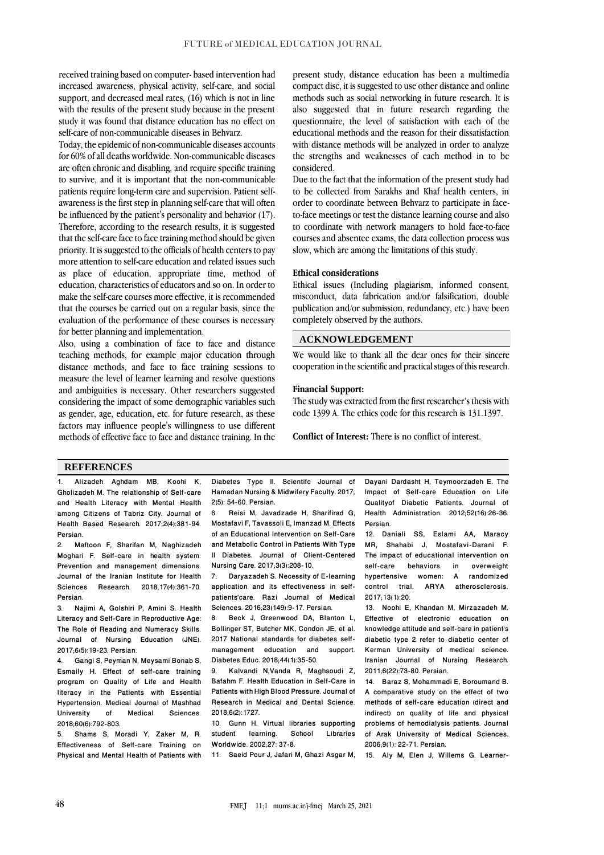received training based on computer- based intervention had increased awareness, physical activity, self-care, and social support, and decreased meal rates, (16) which is not in line with the results of the present study because in the present study it was found that distance education has no effect on self-care of non-communicable diseases in Behvarz.

Today, the epidemic of non-communicable diseases accounts for 60% of all deaths worldwide. Non-communicable diseases are often chronic and disabling, and require specific training to survive, and it is important that the non-communicable patients require long-term care and supervision. Patient selfawareness is the first step in planning self-care that will often be influenced by the patient's personality and behavior (17). Therefore, according to the research results, it is suggested that the self-care face to face training method should be given priority. It is suggested to the officials of health centers to pay more attention to self-care education and related issues such as place of education, appropriate time, method of education, characteristics of educators and so on. In order to make the self-care courses more effective, it is recommended that the courses be carried out on a regular basis, since the evaluation of the performance of these courses is necessary for better planning and implementation.

Also, using a combination of face to face and distance teaching methods, for example major education through distance methods, and face to face training sessions to measure the level of learner learning and resolve questions and ambiguities is necessary. Other researchers suggested considering the impact of some demographic variables such as gender, age, education, etc. for future research, as these factors may influence people's willingness to use different methods of effective face to face and distance training. In the present study, distance education has been a multimedia compact disc, it is suggested to use other distance and online methods such as social networking in future research. It is also suggested that in future research regarding the questionnaire, the level of satisfaction with each of the educational methods and the reason for their dissatisfaction with distance methods will be analyzed in order to analyze the strengths and weaknesses of each method in to be considered.

Due to the fact that the information of the present study had to be collected from Sarakhs and Khaf health centers, in order to coordinate between Behvarz to participate in faceto-face meetings or test the distance learning course and also to coordinate with network managers to hold face-to-face courses and absentee exams, the data collection process was slow, which are among the limitations of this study.

#### **Ethical considerations**

Ethical issues (Including plagiarism, informed consent, misconduct, data fabrication and/or falsification, double publication and/or submission, redundancy, etc.) have been completely observed by the authors.

## **ACKNOWLEDGEMENT**

We would like to thank all the dear ones for their sincere cooperation in the scientific and practical stages of this research.

#### **Financial Support:**

The study was extracted from the first researcher's thesis with code 1399 A. The ethics code for this research is 131.1397.

**Conflict of Interest:** There is no conflict of interest.

#### **REFERENCES**

1. Alizadeh Aghdam MB, Koohi K, Gholizadeh M. The relationship of Self-care and Health Literacy with Mental Health among Citizens of Tabriz City. Journal of Health Based Research. 2017;2(4):381-94. **Persian** 

2. Maftoon F, Sharifan M, Naghizadeh Moghari F. Self-care in health system: Prevention and management dimensions. Journal of the Iranian Institute for Health<br>Sciences Research 2018:17(4):361-70 Research. 2018: 17(4):361-70. Persian.

3. Najimi A, Golshiri P, Amini S. Health Literacy and Self-Care in Reproductive Age: The Role of Reading and Numeracy Skills. Journal of Nursing Education (JNE). 2017;6(5):19-23. Persian.

4. Gangi S, Peyman N, Meysami Bonab S, Esmaily H. Effect of self-care training program on Quality of Life and Health literacy in the Patients with Essential Hypertension. Medical Journal of Mashhad Sciences. 2018;60(6):792-803.

5. Shams S, Moradi Y, Zaker M, R. Effectiveness of Self-care Training on Physical and Mental Health of Patients with

Diabetes Type II. Scientifc Journal of Hamadan Nursing & Midwifery Faculty. 2017;

2(5): 54-60. Persian. 6. Reisi M, Javadzade H, Sharifirad G, Mostafavi F, Tavassoli E, Imanzad M. Effects of an Educational Intervention on Self-Care and Metabolic Control in Patients With Type II Diabetes. Journal of Client-Centered Nursing Care. 2017;3(3):208-10.<br>7 Darvazadeh S. Necessity o

7. Daryazadeh S. Necessity of E-learning application and its effectiveness in selfpatients'care. Razi Journal of Medical Sciences. 2016;23(149):9-17. Persian.<br>8. Beck J. Greenwood DA, Blan

Beck J, Greenwood DA, Blanton L, Bollinger ST, Butcher MK, Condon JE, et al. 2017 National standards for diabetes selfmanagement education and support. Diabetes Educ. 2018;44(1):35-50.

9. Kalvandi N,Vanda R, Maghsoudi Z, Bafahm F. Health Education in Self-Care in Patients with High Blood Pressure. Journal of Research in Medical and Dental Science. 2018;6(2):1727.

10. Gunn H. Virtual libraries supporting student learning. School Libraries Worldwide. 2002;27: 37-8.

11. Saeid Pour J, Jafari M, Ghazi Asgar M,

Dayani Dardasht H, Teymoorzadeh E. The Impact of Self-care Education on Life Qualityof Diabetic Patients. Journal of Health Administration. 2012;52(16):26-36. Persian.

12. Daniali SS, Eslami AA, Maracy MR, Shahabi J, Mostafavi-Darani F. The impact of educational intervention on<br>self-care behaviors in overweight behaviors in overweight<br>e women: A randomized hypertensive women: A<br>control trial. ARYA ath atherosclerosis. 2017;13(1):20.

13. Noohi E, Khandan M, Mirzazadeh M. Effective of electronic education on knowledge attitude and self-care in patient's diabetic type 2 refer to diabetic center of Kerman University of medical science. Iranian Journal of Nursing Research. 2011;6(22):73-80. Persian.

14. Baraz S, Mohammadi E, Boroumand B. A comparative study on the effect of two methods of self-care education (direct and indirect) on quality of life and physical problems of hemodialysis patients. Journal of Arak University of Medical Sciences. 2006;9(1): 22-71. Persian.

15. Aly M, Elen J, Willems G. Learner-